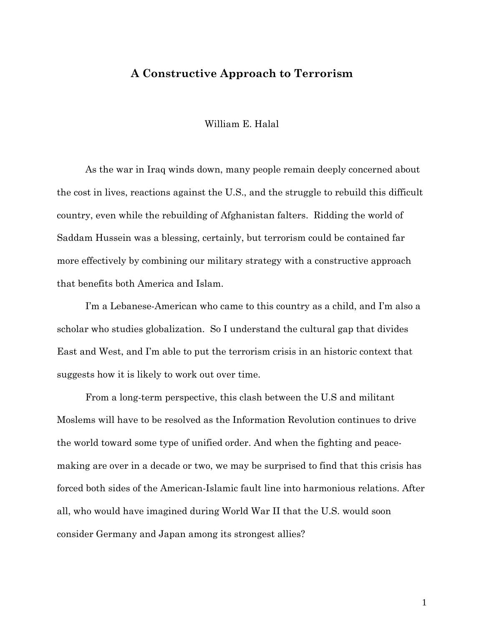## **A Constructive Approach to Terrorism**

William E. Halal

 As the war in Iraq winds down, many people remain deeply concerned about the cost in lives, reactions against the U.S., and the struggle to rebuild this difficult country, even while the rebuilding of Afghanistan falters. Ridding the world of Saddam Hussein was a blessing, certainly, but terrorism could be contained far more effectively by combining our military strategy with a constructive approach that benefits both America and Islam.

 I'm a Lebanese-American who came to this country as a child, and I'm also a scholar who studies globalization. So I understand the cultural gap that divides East and West, and I'm able to put the terrorism crisis in an historic context that suggests how it is likely to work out over time.

From a long-term perspective, this clash between the U.S and militant Moslems will have to be resolved as the Information Revolution continues to drive the world toward some type of unified order. And when the fighting and peacemaking are over in a decade or two, we may be surprised to find that this crisis has forced both sides of the American-Islamic fault line into harmonious relations. After all, who would have imagined during World War II that the U.S. would soon consider Germany and Japan among its strongest allies?

1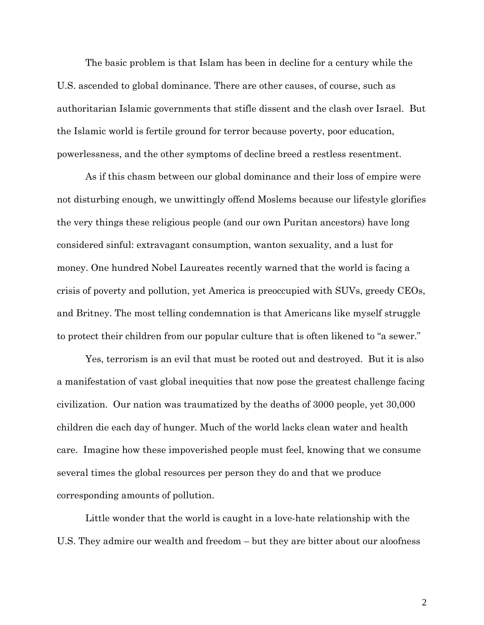The basic problem is that Islam has been in decline for a century while the U.S. ascended to global dominance. There are other causes, of course, such as authoritarian Islamic governments that stifle dissent and the clash over Israel. But the Islamic world is fertile ground for terror because poverty, poor education, powerlessness, and the other symptoms of decline breed a restless resentment.

As if this chasm between our global dominance and their loss of empire were not disturbing enough, we unwittingly offend Moslems because our lifestyle glorifies the very things these religious people (and our own Puritan ancestors) have long considered sinful: extravagant consumption, wanton sexuality, and a lust for money. One hundred Nobel Laureates recently warned that the world is facing a crisis of poverty and pollution, yet America is preoccupied with SUVs, greedy CEOs, and Britney. The most telling condemnation is that Americans like myself struggle to protect their children from our popular culture that is often likened to "a sewer."

 Yes, terrorism is an evil that must be rooted out and destroyed. But it is also a manifestation of vast global inequities that now pose the greatest challenge facing civilization. Our nation was traumatized by the deaths of 3000 people, yet 30,000 children die each day of hunger. Much of the world lacks clean water and health care. Imagine how these impoverished people must feel, knowing that we consume several times the global resources per person they do and that we produce corresponding amounts of pollution.

 Little wonder that the world is caught in a love-hate relationship with the U.S. They admire our wealth and freedom – but they are bitter about our aloofness

2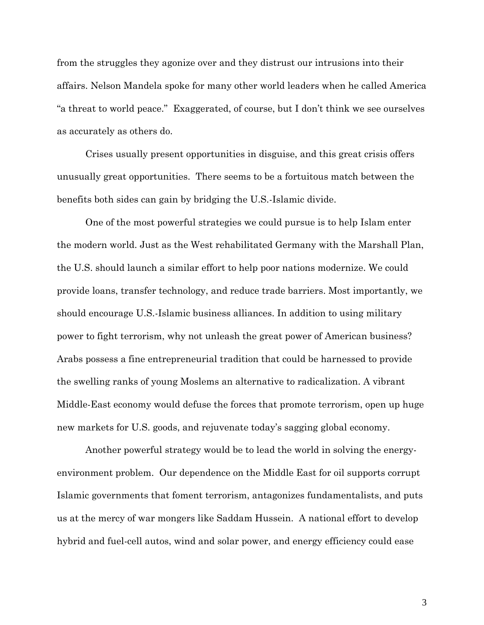from the struggles they agonize over and they distrust our intrusions into their affairs. Nelson Mandela spoke for many other world leaders when he called America "a threat to world peace." Exaggerated, of course, but I don't think we see ourselves as accurately as others do.

 Crises usually present opportunities in disguise, and this great crisis offers unusually great opportunities. There seems to be a fortuitous match between the benefits both sides can gain by bridging the U.S.-Islamic divide.

 One of the most powerful strategies we could pursue is to help Islam enter the modern world. Just as the West rehabilitated Germany with the Marshall Plan, the U.S. should launch a similar effort to help poor nations modernize. We could provide loans, transfer technology, and reduce trade barriers. Most importantly, we should encourage U.S.-Islamic business alliances. In addition to using military power to fight terrorism, why not unleash the great power of American business? Arabs possess a fine entrepreneurial tradition that could be harnessed to provide the swelling ranks of young Moslems an alternative to radicalization. A vibrant Middle-East economy would defuse the forces that promote terrorism, open up huge new markets for U.S. goods, and rejuvenate today's sagging global economy.

 Another powerful strategy would be to lead the world in solving the energyenvironment problem. Our dependence on the Middle East for oil supports corrupt Islamic governments that foment terrorism, antagonizes fundamentalists, and puts us at the mercy of war mongers like Saddam Hussein. A national effort to develop hybrid and fuel-cell autos, wind and solar power, and energy efficiency could ease